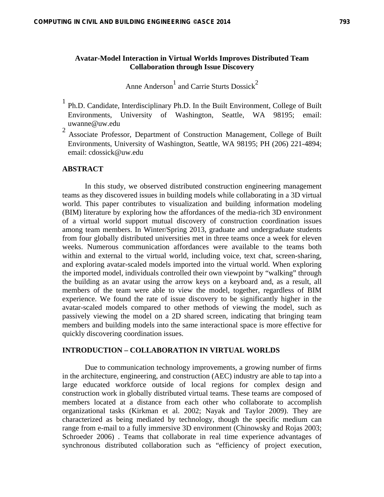# **Avatar-Model Interaction in Virtual Worlds Improves Distributed Team Collaboration through Issue Discovery**

Anne Anderson $1$  and Carrie Sturts Dossick<sup>2</sup>

1 Ph.D. Candidate, Interdisciplinary Ph.D. In the Built Environment, College of Built Environments, University of Washington, Seattle, WA 98195; email: uwanne@uw.edu

 $2$  Associate Professor, Department of Construction Management, College of Built Environments, University of Washington, Seattle, WA 98195; PH (206) 221-4894; email: cdossick@uw.edu

## **ABSTRACT**

In this study, we observed distributed construction engineering management teams as they discovered issues in building models while collaborating in a 3D virtual world. This paper contributes to visualization and building information modeling (BIM) literature by exploring how the affordances of the media-rich 3D environment of a virtual world support mutual discovery of construction coordination issues among team members. In Winter/Spring 2013, graduate and undergraduate students from four globally distributed universities met in three teams once a week for eleven weeks. Numerous communication affordances were available to the teams both within and external to the virtual world, including voice, text chat, screen-sharing, and exploring avatar-scaled models imported into the virtual world. When exploring the imported model, individuals controlled their own viewpoint by "walking" through the building as an avatar using the arrow keys on a keyboard and, as a result, all members of the team were able to view the model, together, regardless of BIM experience. We found the rate of issue discovery to be significantly higher in the avatar-scaled models compared to other methods of viewing the model, such as passively viewing the model on a 2D shared screen, indicating that bringing team members and building models into the same interactional space is more effective for quickly discovering coordination issues.

#### **INTRODUCTION – COLLABORATION IN VIRTUAL WORLDS**

Due to communication technology improvements, a growing number of firms in the architecture, engineering, and construction (AEC) industry are able to tap into a large educated workforce outside of local regions for complex design and construction work in globally distributed virtual teams. These teams are composed of members located at a distance from each other who collaborate to accomplish organizational tasks (Kirkman et al. 2002; Nayak and Taylor 2009). They are characterized as being mediated by technology, though the specific medium can range from e-mail to a fully immersive 3D environment (Chinowsky and Rojas 2003; Schroeder 2006) . Teams that collaborate in real time experience advantages of synchronous distributed collaboration such as "efficiency of project execution,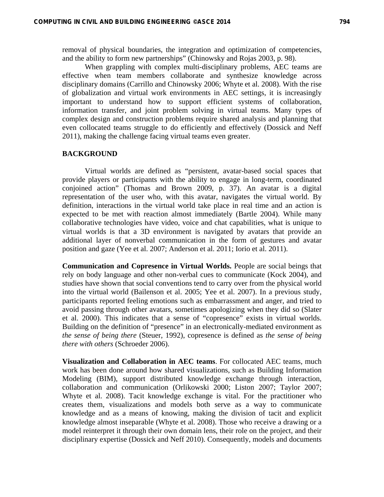When grappling with complex multi-disciplinary problems, AEC teams are effective when team members collaborate and synthesize knowledge across disciplinary domains (Carrillo and Chinowsky 2006; Whyte et al. 2008). With the rise of globalization and virtual work environments in AEC settings, it is increasingly important to understand how to support efficient systems of collaboration, information transfer, and joint problem solving in virtual teams. Many types of complex design and construction problems require shared analysis and planning that even collocated teams struggle to do efficiently and effectively (Dossick and Neff 2011), making the challenge facing virtual teams even greater.

#### **BACKGROUND**

Virtual worlds are defined as "persistent, avatar-based social spaces that provide players or participants with the ability to engage in long-term, coordinated conjoined action" (Thomas and Brown 2009, p. 37). An avatar is a digital representation of the user who, with this avatar, navigates the virtual world. By definition, interactions in the virtual world take place in real time and an action is expected to be met with reaction almost immediately (Bartle 2004). While many collaborative technologies have video, voice and chat capabilities, what is unique to virtual worlds is that a 3D environment is navigated by avatars that provide an additional layer of nonverbal communication in the form of gestures and avatar position and gaze (Yee et al. 2007; Anderson et al. 2011; Iorio et al. 2011).

**Communication and Copresence in Virtual Worlds.** People are social beings that rely on body language and other non-verbal cues to communicate (Kock 2004), and studies have shown that social conventions tend to carry over from the physical world into the virtual world (Bailenson et al. 2005; Yee et al. 2007). In a previous study, participants reported feeling emotions such as embarrassment and anger, and tried to avoid passing through other avatars, sometimes apologizing when they did so (Slater et al. 2000). This indicates that a sense of "copresence" exists in virtual worlds. Building on the definition of "presence" in an electronically-mediated environment as *the sense of being there* (Steuer, 1992), copresence is defined as *the sense of being there with others* (Schroeder 2006).

**Visualization and Collaboration in AEC teams**. For collocated AEC teams, much work has been done around how shared visualizations, such as Building Information Modeling (BIM), support distributed knowledge exchange through interaction, collaboration and communication (Orlikowski 2000; Liston 2007; Taylor 2007; Whyte et al. 2008). Tacit knowledge exchange is vital. For the practitioner who creates them, visualizations and models both serve as a way to communicate knowledge and as a means of knowing, making the division of tacit and explicit knowledge almost inseparable (Whyte et al. 2008). Those who receive a drawing or a model reinterpret it through their own domain lens, their role on the project, and their disciplinary expertise (Dossick and Neff 2010). Consequently, models and documents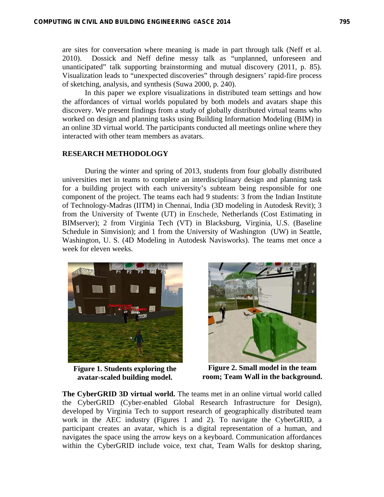are sites for conversation where meaning is made in part through talk (Neff et al. 2010). Dossick and Neff define messy talk as "unplanned, unforeseen and unanticipated" talk supporting brainstorming and mutual discovery (2011, p. 85). Visualization leads to "unexpected discoveries" through designers' rapid-fire process of sketching, analysis, and synthesis (Suwa 2000, p. 240).

In this paper we explore visualizations in distributed team settings and how the affordances of virtual worlds populated by both models and avatars shape this discovery. We present findings from a study of globally distributed virtual teams who worked on design and planning tasks using Building Information Modeling (BIM) in an online 3D virtual world. The participants conducted all meetings online where they interacted with other team members as avatars.

### **RESEARCH METHODOLOGY**

During the winter and spring of 2013, students from four globally distributed universities met in teams to complete an interdisciplinary design and planning task for a building project with each university's subteam being responsible for one component of the project. The teams each had 9 students: 3 from the Indian Institute of Technology-Madras (IITM) in Chennai, India (3D modeling in Autodesk Revit); 3 from the University of Twente (UT) in Enschede, Netherlands (Cost Estimating in BIMserver); 2 from Virginia Tech (VT) in Blacksburg, Virginia, U.S. (Baseline Schedule in Simvision); and 1 from the University of Washington (UW) in Seattle, Washington, U. S. (4D Modeling in Autodesk Navisworks). The teams met once a week for eleven weeks.



**Figure 1. Students exploring the avatar-scaled building model.** 



**Figure 2. Small model in the team room; Team Wall in the background.** 

**The CyberGRID 3D virtual world.** The teams met in an online virtual world called the CyberGRID (Cyber-enabled Global Research Infrastructure for Design), developed by Virginia Tech to support research of geographically distributed team work in the AEC industry (Figures 1 and 2). To navigate the CyberGRID, a participant creates an avatar, which is a digital representation of a human, and navigates the space using the arrow keys on a keyboard. Communication affordances within the CyberGRID include voice, text chat, Team Walls for desktop sharing,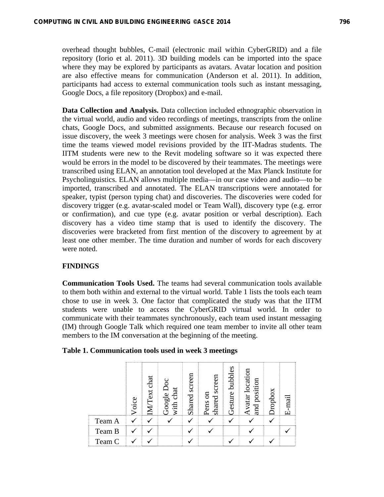overhead thought bubbles, C-mail (electronic mail within CyberGRID) and a file repository (Iorio et al. 2011). 3D building models can be imported into the space where they may be explored by participants as avatars. Avatar location and position are also effective means for communication (Anderson et al. 2011). In addition, participants had access to external communication tools such as instant messaging, Google Docs, a file repository (Dropbox) and e-mail.

**Data Collection and Analysis.** Data collection included ethnographic observation in the virtual world, audio and video recordings of meetings, transcripts from the online chats, Google Docs, and submitted assignments. Because our research focused on issue discovery, the week 3 meetings were chosen for analysis. Week 3 was the first time the teams viewed model revisions provided by the IIT-Madras students. The IITM students were new to the Revit modeling software so it was expected there would be errors in the model to be discovered by their teammates. The meetings were transcribed using ELAN, an annotation tool developed at the Max Planck Institute for Psycholinguistics. ELAN allows multiple media—in our case video and audio—to be imported, transcribed and annotated. The ELAN transcriptions were annotated for speaker, typist (person typing chat) and discoveries. The discoveries were coded for discovery trigger (e.g. avatar-scaled model or Team Wall), discovery type (e.g. error or confirmation), and cue type (e.g. avatar position or verbal description). Each discovery has a video time stamp that is used to identify the discovery. The discoveries were bracketed from first mention of the discovery to agreement by at least one other member. The time duration and number of words for each discovery were noted.

# **FINDINGS**

**Communication Tools Used.** The teams had several communication tools available to them both within and external to the virtual world. Table 1 lists the tools each team chose to use in week 3. One factor that complicated the study was that the IITM students were unable to access the CyberGRID virtual world. In order to communicate with their teammates synchronously, each team used instant messaging (IM) through Google Talk which required one team member to invite all other team members to the IM conversation at the beginning of the meeting.

|  | Table 1. Communication tools used in week 3 meetings |  |  |  |  |
|--|------------------------------------------------------|--|--|--|--|
|--|------------------------------------------------------|--|--|--|--|

|        | <br>$\frac{1}{2}$ | $\operatorname{chat}$<br>⊠ | $\frac{d}{dt}$<br>$\triangle$<br>lgoor<br>with | $\infty$<br>Shared | ā<br>share<br>Pens | S<br>bubbles | location<br>position<br>ratar<br>an | opbox | nai |
|--------|-------------------|----------------------------|------------------------------------------------|--------------------|--------------------|--------------|-------------------------------------|-------|-----|
| Team A |                   |                            |                                                |                    |                    |              |                                     |       |     |
| Team B |                   |                            |                                                |                    |                    |              |                                     |       |     |
| Team C |                   |                            |                                                |                    |                    |              |                                     |       |     |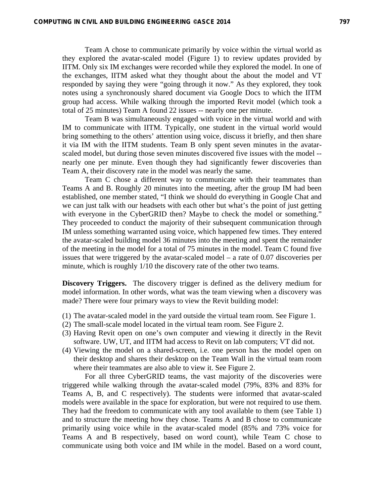Team A chose to communicate primarily by voice within the virtual world as they explored the avatar-scaled model (Figure 1) to review updates provided by IITM. Only six IM exchanges were recorded while they explored the model. In one of the exchanges, IITM asked what they thought about the about the model and VT responded by saying they were "going through it now." As they explored, they took notes using a synchronously shared document via Google Docs to which the IITM group had access. While walking through the imported Revit model (which took a total of 25 minutes) Team A found 22 issues -- nearly one per minute.

Team B was simultaneously engaged with voice in the virtual world and with IM to communicate with IITM. Typically, one student in the virtual world would bring something to the others' attention using voice, discuss it briefly, and then share it via IM with the IITM students. Team B only spent seven minutes in the avatarscaled model, but during those seven minutes discovered five issues with the model - nearly one per minute. Even though they had significantly fewer discoveries than Team A, their discovery rate in the model was nearly the same.

Team C chose a different way to communicate with their teammates than Teams A and B. Roughly 20 minutes into the meeting, after the group IM had been established, one member stated, "I think we should do everything in Google Chat and we can just talk with our headsets with each other but what's the point of just getting with everyone in the CyberGRID then? Maybe to check the model or something." They proceeded to conduct the majority of their subsequent communication through IM unless something warranted using voice, which happened few times. They entered the avatar-scaled building model 36 minutes into the meeting and spent the remainder of the meeting in the model for a total of 75 minutes in the model. Team C found five issues that were triggered by the avatar-scaled model – a rate of 0.07 discoveries per minute, which is roughly 1/10 the discovery rate of the other two teams.

**Discovery Triggers.** The discovery trigger is defined as the delivery medium for model information. In other words, what was the team viewing when a discovery was made? There were four primary ways to view the Revit building model:

- (1) The avatar-scaled model in the yard outside the virtual team room. See Figure 1.
- (2) The small-scale model located in the virtual team room. See Figure 2.
- (3) Having Revit open on one's own computer and viewing it directly in the Revit software. UW, UT, and IITM had access to Revit on lab computers; VT did not.
- (4) Viewing the model on a shared-screen, i.e. one person has the model open on their desktop and shares their desktop on the Team Wall in the virtual team room where their teammates are also able to view it. See Figure 2.

For all three CyberGRID teams, the vast majority of the discoveries were triggered while walking through the avatar-scaled model (79%, 83% and 83% for Teams A, B, and C respectively). The students were informed that avatar-scaled models were available in the space for exploration, but were not required to use them. They had the freedom to communicate with any tool available to them (see Table 1) and to structure the meeting how they chose. Teams A and B chose to communicate primarily using voice while in the avatar-scaled model (85% and 73% voice for Teams A and B respectively, based on word count), while Team C chose to communicate using both voice and IM while in the model. Based on a word count,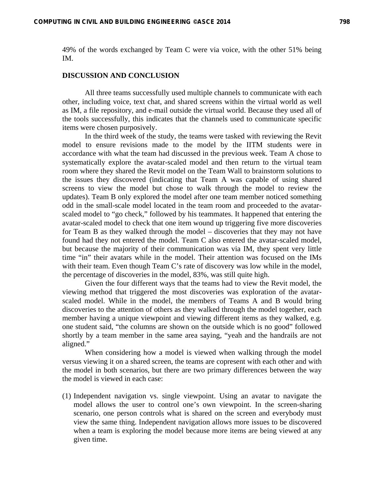49% of the words exchanged by Team C were via voice, with the other 51% being IM.

#### **DISCUSSION AND CONCLUSION**

All three teams successfully used multiple channels to communicate with each other, including voice, text chat, and shared screens within the virtual world as well as IM, a file repository, and e-mail outside the virtual world. Because they used all of the tools successfully, this indicates that the channels used to communicate specific items were chosen purposively.

In the third week of the study, the teams were tasked with reviewing the Revit model to ensure revisions made to the model by the IITM students were in accordance with what the team had discussed in the previous week. Team A chose to systematically explore the avatar-scaled model and then return to the virtual team room where they shared the Revit model on the Team Wall to brainstorm solutions to the issues they discovered (indicating that Team A was capable of using shared screens to view the model but chose to walk through the model to review the updates). Team B only explored the model after one team member noticed something odd in the small-scale model located in the team room and proceeded to the avatarscaled model to "go check," followed by his teammates. It happened that entering the avatar-scaled model to check that one item wound up triggering five more discoveries for Team B as they walked through the model – discoveries that they may not have found had they not entered the model. Team C also entered the avatar-scaled model, but because the majority of their communication was via IM, they spent very little time "in" their avatars while in the model. Their attention was focused on the IMs with their team. Even though Team C's rate of discovery was low while in the model, the percentage of discoveries in the model, 83%, was still quite high.

Given the four different ways that the teams had to view the Revit model, the viewing method that triggered the most discoveries was exploration of the avatarscaled model. While in the model, the members of Teams A and B would bring discoveries to the attention of others as they walked through the model together, each member having a unique viewpoint and viewing different items as they walked, e.g. one student said, "the columns are shown on the outside which is no good" followed shortly by a team member in the same area saying, "yeah and the handrails are not aligned."

When considering how a model is viewed when walking through the model versus viewing it on a shared screen, the teams are copresent with each other and with the model in both scenarios, but there are two primary differences between the way the model is viewed in each case:

(1) Independent navigation vs. single viewpoint. Using an avatar to navigate the model allows the user to control one's own viewpoint. In the screen-sharing scenario, one person controls what is shared on the screen and everybody must view the same thing. Independent navigation allows more issues to be discovered when a team is exploring the model because more items are being viewed at any given time.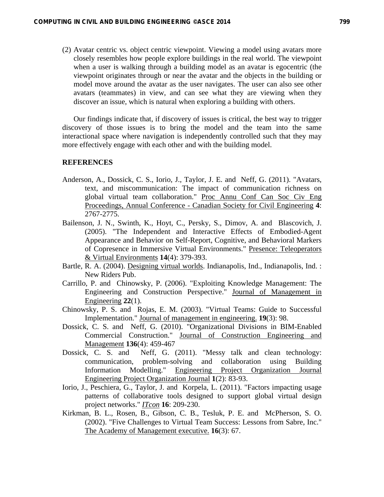(2) Avatar centric vs. object centric viewpoint. Viewing a model using avatars more closely resembles how people explore buildings in the real world. The viewpoint when a user is walking through a building model as an avatar is egocentric (the viewpoint originates through or near the avatar and the objects in the building or model move around the avatar as the user navigates. The user can also see other avatars (teammates) in view, and can see what they are viewing when they discover an issue, which is natural when exploring a building with others.

Our findings indicate that, if discovery of issues is critical, the best way to trigger discovery of those issues is to bring the model and the team into the same interactional space where navigation is independently controlled such that they may more effectively engage with each other and with the building model.

### **REFERENCES**

- Anderson, A., Dossick, C. S., Iorio, J., Taylor, J. E. and Neff, G. (2011). "Avatars, text, and miscommunication: The impact of communication richness on global virtual team collaboration." Proc Annu Conf Can Soc Civ Eng Proceedings, Annual Conference - Canadian Society for Civil Engineering **4**: 2767-2775.
- Bailenson, J. N., Swinth, K., Hoyt, C., Persky, S., Dimov, A. and Blascovich, J. (2005). "The Independent and Interactive Effects of Embodied-Agent Appearance and Behavior on Self-Report, Cognitive, and Behavioral Markers of Copresence in Immersive Virtual Environments." Presence: Teleoperators & Virtual Environments **14**(4): 379-393.
- Bartle, R. A. (2004). Designing virtual worlds. Indianapolis, Ind., Indianapolis, Ind.: New Riders Pub.
- Carrillo, P. and Chinowsky, P. (2006). "Exploiting Knowledge Management: The Engineering and Construction Perspective." Journal of Management in Engineering **22**(1).
- Chinowsky, P. S. and Rojas, E. M. (2003). "Virtual Teams: Guide to Successful Implementation." Journal of management in engineering. **19**(3): 98.
- Dossick, C. S. and Neff, G. (2010). "Organizational Divisions in BIM-Enabled Commercial Construction." Journal of Construction Engineering and Management **136**(4): 459-467
- Dossick, C. S. and Neff, G. (2011). "Messy talk and clean technology: communication, problem-solving and collaboration using Building Information Modelling." Engineering Project Organization Journal Engineering Project Organization Journal **1**(2): 83-93.
- Iorio, J., Peschiera, G., Taylor, J. and Korpela, L. (2011). "Factors impacting usage patterns of collaborative tools designed to support global virtual design project networks." *ITcon* **16**: 209-230.
- Kirkman, B. L., Rosen, B., Gibson, C. B., Tesluk, P. E. and McPherson, S. O. (2002). "Five Challenges to Virtual Team Success: Lessons from Sabre, Inc." The Academy of Management executive. **16**(3): 67.